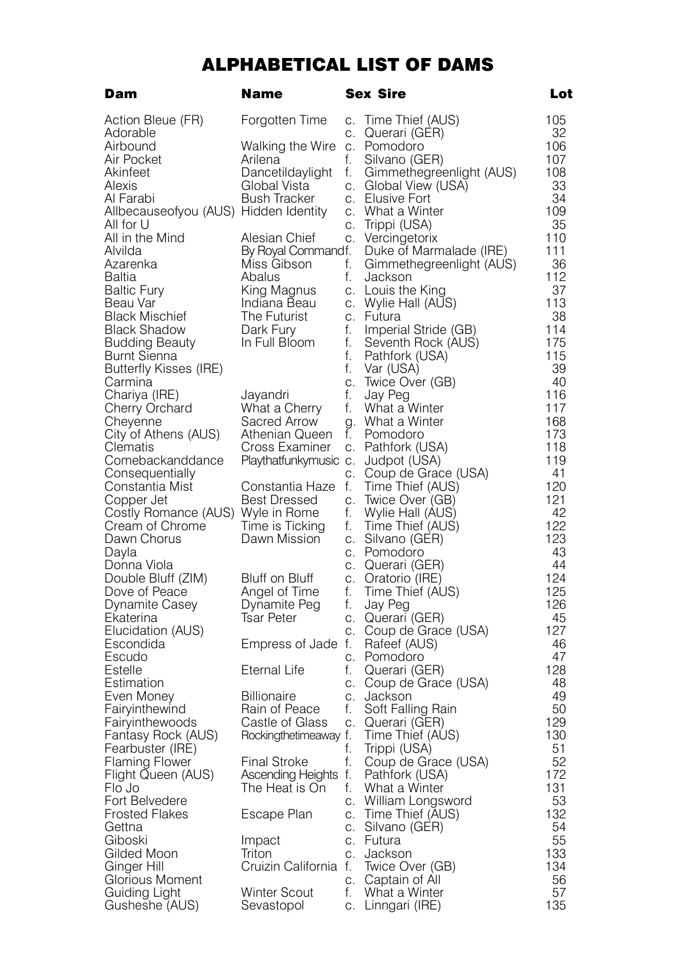## ALPHABETICAL LIST OF DAMS

| Dam                                   | Name                                                            |    | Sex Sire                           | Lot       |
|---------------------------------------|-----------------------------------------------------------------|----|------------------------------------|-----------|
| Action Bleue (FR)                     | Forgotten Time                                                  |    | c. Time Thief (AUS)                | 105       |
| Adorable                              |                                                                 | C. | Querari (GER)                      | 32        |
| Airbound                              | Walking the Wire                                                | C. | Pomodoro                           | 106       |
| Air Pocket                            | Arilena                                                         | f. | Silvano (GER)                      | 107       |
| Akinfeet                              | Dancetildaylight                                                | f. | Gimmethegreenlight (AUS)           | 108       |
| Alexis                                | Global Vista                                                    |    | c. Global View (USA)               | 33        |
| Al Farabi                             | <b>Bush Tracker</b>                                             |    | c. Elusive Fort                    | 34        |
| Allbecauseofyou (AUS) Hidden Identity |                                                                 |    | c. What a Winter                   | 109       |
| All for U                             |                                                                 | С. | Trippi (USA)                       | 35        |
| All in the Mind                       | Alesian Chief                                                   | C. | Vercingetorix                      | 110       |
| Alvilda                               | By Royal Commandf.                                              |    | Duke of Marmalade (IRE)            | 111       |
| Azarenka                              | Miss Gibson                                                     | f. | Gimmethegreenlight (AUS)           | 36        |
| Baltia                                | Abalus                                                          | f. | Jackson                            | 112<br>37 |
| Baltic Fury<br>Beau Var               | King Magnus c. Louis the King<br>Indiana Beau c. Wylie Hall (AU |    | c. Wylie Hall (AUS)                | 113       |
| Black Mischief                        | The Futurist                                                    |    | c. Futura                          | 38        |
| Black Shadow                          | Dark Fury                                                       | f. | Imperial Stride (GB)               | 114       |
| Budding Beauty                        | In Full Bloom                                                   | f. | Seventh Rock (AUS)                 | 175       |
| Burnt Sienna                          |                                                                 | f. | Pathfork (USA)                     | 115       |
| Butterfly Kisses (IRE)                |                                                                 | f. | Var (USA)                          | 39        |
| Carmina                               |                                                                 | C. | Twice Over (GB)                    | 40        |
| Chariya (IRE)                         | Jayandri                                                        | f. | Jay Peg                            | 116       |
| Cherry Orchard                        | What a Cherry                                                   | f. | What a Winter                      | 117       |
| Cheyenne                              | Sacred Arrow                                                    |    | g. What a Winter                   | 168       |
| City of Athens (AUS)                  | Athenian Queen                                                  | f. | Pomodoro                           | 173       |
| Clematis                              | Cross Examiner                                                  | C. | Pathfork (USA)                     | 118       |
| Comebackanddance                      | Playthatfunkymusic c.                                           |    | Judpot (USA)                       | 119       |
| Consequentially                       |                                                                 |    | c. Coup de Grace (USA)             | 41        |
| Constantia Mist                       | Constantia Haze                                                 | f. | Time Thief (AUS)                   | 120       |
| Copper Jet                            | Best Dressed                                                    | С. | Twice Over (GB)                    | 121       |
| Costly Romance (AUS) Wyle in Rome     |                                                                 | f. | Wylie Hall (AUS)                   | 42        |
| Cream of Chrome                       | Time is Ticking                                                 | f. | I ime Thief (AUS)                  | 122       |
| Dawn Chorus                           | Dawn Mission                                                    |    | c. Silvano (GEH)                   | 123       |
| Dayla                                 |                                                                 |    | c. Pomodoro                        | 43<br>44  |
| Donna Viola<br>Double Bluff (ZIM)     | Bluff on Bluff                                                  | C. | c. Querari (GER)                   | 124       |
| Dove of Peace                         | Angel of Time                                                   | f. | Oratorio (IRE)<br>Time Thief (AUS) | 125       |
| Dynamite Casey                        | Dynamite Peg                                                    | f. | Jay Peg                            | 126       |
| Ekaterina                             | Tsar Peter                                                      |    | c. Querari (GER)                   | 45        |
| Elucidation (AUS)                     |                                                                 |    | c. Coup de Grace (USA)             | 127       |
| Escondida                             | Empress of Jade f.                                              |    | Rafeef (AUS)                       | 46        |
| Escudo                                |                                                                 | C. | Pomodoro                           | 47        |
| Estelle                               | Eternal Life                                                    | f. | Querari (GER)                      | 128       |
| Estimation                            |                                                                 |    | c. Coup de Grace (USA)             | 48        |
| Even Money                            | <b>Billionaire</b>                                              | C. | Jackson                            | 49        |
| Fairyinthewind                        | Rain of Peace                                                   | f. | Soft Falling Rain                  | 50        |
| Fairyinthewoods                       | Castle of Glass                                                 |    | c. Querari (GER)                   | 129       |
| Fantasy Rock (AUS)                    | Rockingthetimeaway f.                                           |    | Time Thief (AUS)                   | 130       |
| Fearbuster (IRE)                      |                                                                 | f. | Trippi (USA)                       | 51        |
| Flaming Flower                        | <b>Final Stroke</b>                                             | f. | Coup de Grace (USA)                | 52        |
| Flight Queen (AUS)                    | Ascending Heights t.                                            |    | Pathfork (USA)                     | 172       |
| Flo Jo                                | The Heat is On                                                  | f. | What a Winter                      | 131       |
| Fort Belvedere                        |                                                                 | C. | William Longsword                  | 53        |
| <b>Frosted Flakes</b>                 | Escape Plan                                                     |    | c. Time Thief (AUS)                | 132       |
| Gettna                                |                                                                 |    | c. Silvano (GER)<br>c. Futura      | 54<br>55  |
| Giboski<br>Gilded Moon                | Impact<br>Triton                                                |    | c. Jackson                         | 133       |
| Ginger Hill                           | Cruizin California f.                                           |    | Twice Over (GB)                    | 134       |
| Glorious Moment                       |                                                                 |    | c. Captain of All                  | 56        |
| Guiding Light                         | Winter Scout                                                    | f. | What a Winter                      | 57        |
| Gusheshe (AUS)                        | Sevastopol                                                      |    | c. Linngari (IRE)                  | 135       |
|                                       |                                                                 |    |                                    |           |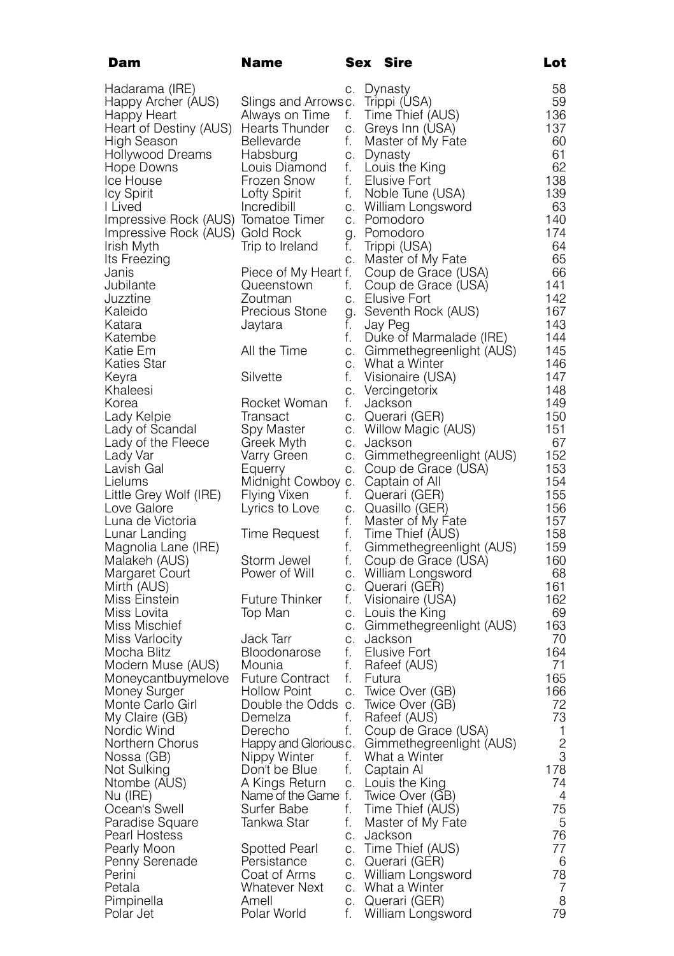| Dam                                 | Name                   |    | Sex Sire                               | Lot          |
|-------------------------------------|------------------------|----|----------------------------------------|--------------|
| Hadarama (IRE)                      |                        | С. | Dynasty                                | 58           |
| Happy Archer (AUS)                  | Slings and Arrowsc.    |    | Trippi (USA)                           | 59           |
| Happy Heart                         | Always on Time         | f. | Time Thief (AUS)                       | 136          |
| Heart of Destiny (AUS)              | Hearts I hunder        | С. | Greys Inn (USA)                        | 137          |
| High Season                         | Bellevarde             | f. | Master of My Fate                      | 60           |
| Hollywood Dreams                    | Habsburg               |    | c. Dynasty                             | 61           |
| Hope Downs                          | Louis Diamond          | f. | Louis the King                         | 62           |
| Ice House                           | Frozen Snow            | f. | Elusive Fort                           | 138          |
| <b>Icy Spirit</b>                   | Lofty Spirit           | f. | Noble Tune (USA)                       | 139          |
| I Lived                             | Incredibill            |    | c. William Longsword                   | 63           |
| Impressive Rock (AUS) Tomatoe Timer |                        |    | c. Pomodoro                            | 140          |
| Impressive Rock (AUS) Gold Rock     |                        |    | g. Pomodoro                            | 174          |
| Irish Myth                          | Irip to Ireland        | t. | Trippi (USA)                           | 64           |
| Its Freezing                        |                        | С. | Master of My Fate                      | 65           |
| Janis                               | Piece of My Heart f.   |    | Coup de Grace (USA)                    | 66           |
| Jubilante                           | Queenstown             | f. | Coup de Grace (USA)                    | 141          |
| Juzztine                            | Zoutman                | C. | <b>Elusive Fort</b>                    | 142          |
| Kaleido                             | Precious Stone         |    | g. Seventh Rock (AUS)                  | 167          |
| Katara                              | Jaytara                | t. | Jay Peg                                | 143          |
| Katembe                             |                        | f. | Duke of Marmalade (IRE)                | 144          |
| Katie Em                            | All the Time           | C. | Gimmethegreenlight (AUS)               | 145          |
| Katies Star                         |                        | C. | What a Winter                          | 146          |
| Keyra                               | Silvette               | f. | Visionaire (USA)                       | 147          |
| Khaleesi                            |                        | C. | Vercingetorix                          | 148          |
| Korea                               | Rocket Woman           | f. | Jackson                                | 149          |
| Lady Kelpie                         | Iransact               | C. | Querari (GER)                          | 150          |
| Lady of Scandal                     | Spy Master             | C. | Willow Magic (AUS)                     | 151          |
| Lady of the Fleece                  | Greek Myth             | C. | Jackson                                | 67           |
| Lady Var                            | Varry Green            | C. | Gimmethegreenlight (AUS)               | 152          |
| Lavish Gal                          | Equerry                | С. | Coup de Grace (USA)                    | 153          |
| Lielums                             | Midnight Cowboy c.     |    | Captain of All                         | 154          |
| Little Grey Wolf (IRE)              | Flying Vixen           | f. | Querari (GER)                          | 155          |
| Love Galore                         | Lyrics to Love         | С. | Quasillo (GER)                         | 156          |
| Luna de Victoria                    |                        | f. | Master of My Fate                      | 157          |
| Lunar Landing                       | Time Request           | f. | Time Thief (AUS)                       | 158          |
| Magnolia Lane (IRE)                 |                        | f. | Gimmethegreenlight (AUS)               | 159          |
| Malakeh (AUS)                       | Storm Jewel            | f. | Coup de Grace (USA)                    | 160          |
| Margaret Court                      | Power of Will          | C. | William Longsword                      | 68           |
| Mirth (AUS)                         |                        | C. | Querari (GER)                          | 161          |
| Miss Einstein                       | Future Thinker         | t. | Visionaire (USA)                       | 162          |
| Miss Lovita                         | Top Man                | C. | c. Louis the King                      | 69<br>163    |
| Miss Mischief<br>Miss Varlocity     | Jack Tarr              |    | Gimmethegreenlight (AUS)<br>c. Jackson | 70           |
| Mocha Blitz                         | Bloodonarose           | f. | Elusive Fort                           | 164          |
| Modern Muse (AUS)                   | Mounia                 | f. | Rafeef (AUS)                           | 71           |
| Moneycantbuymelove                  | <b>Future Contract</b> | f. | Futura                                 | 165          |
| Money Surger                        | <b>Hollow Point</b>    | C. | Iwice Over (GB)                        | 166          |
| Monte Carlo Girl                    | Double the Odds c.     |    | Twice Over (GB)                        | 72           |
| My Claire (GB)                      | Demelza                | f. | Rafeef (AUS)                           | 73           |
| Nordic Wind                         | Derecho                | f. | Coup de Grace (USA)                    | 1            |
| Northern Chorus                     | Happy and Glorious c.  |    | Gimmethegreenlight (AUS)               | $\mathbf{2}$ |
| Nossa (GB)                          | Nippy Winter           | f. | What a Winter                          | 3            |
| Not Sulking                         | Don't be Blue          | f. | Captain Al                             | 178          |
| Ntombe (AUS)                        | A Kings Return         | С. | Louis the King                         | 74           |
| Nu (IRE)                            | Name of the Game f.    |    | Twice Over (GB)                        | 4            |
| Ocean's Swell                       | Surfer Babe            | f. | Time Thief (AUS)                       | 75           |
| Paradise Square                     | Tankwa Star            | f. | Master of My Fate                      | 5            |
| Pearl Hostess                       |                        | C. | Jackson                                | 76           |
| Pearly Moon                         | Spotted Pearl          | С. | Time Thief (AUS)                       | 77           |
| Penny Serenade                      | Persistance            | C. | Querari (GER)                          | 6            |
| Perini                              | Coat of Arms           | C. | William Longsword                      | 78           |
| Petala                              | <b>Whatever Next</b>   | C. | What a Winter                          | 7            |
| Pimpinella                          | Amell                  |    | c. Querari (GER)                       | 8            |
| Polar Jet                           | Polar World            | f. | William Longsword                      | 79           |